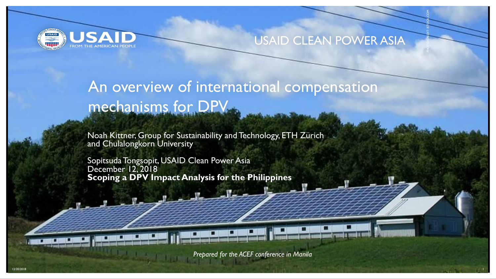

#### USAID CLEAN POWER ASIA

PHOTO CREDIT: ISTOCK.COM

### An overview of international compensation mechanisms for DPV

Noah Kittner, Group for Sustainability and Technology, ETH Zürich and Chulalongkorn University

Sopitsuda Tongsopit, USAID Clean Power Asia December 12, 2018 **Scoping a DPV Impact Analysis for the Philippines**

*Prepared for the ACEF conference in Manila*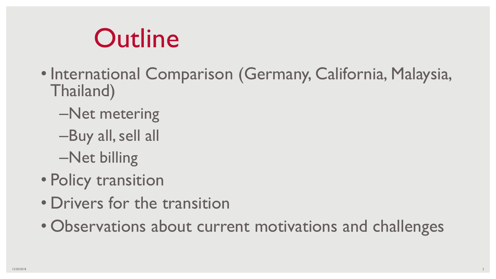# **Outline**

- International Comparison (Germany, California, Malaysia, Thailand)
	- –Net metering
	- –Buy all, sell all
	- –Net billing
- Policy transition
- Drivers for the transition
- Observations about current motivations and challenges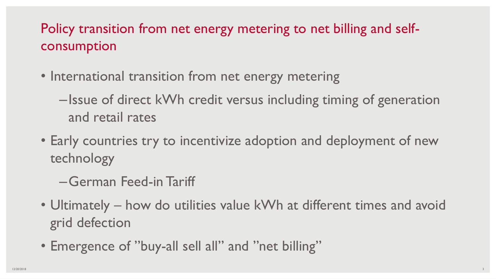### Policy transition from net energy metering to net billing and selfconsumption

- International transition from net energy metering
	- –Issue of direct kWh credit versus including timing of generation and retail rates
- Early countries try to incentivize adoption and deployment of new technology
	- –German Feed-in Tariff
- Ultimately how do utilities value kWh at different times and avoid grid defection
- Emergence of "buy-all sell all" and "net billing"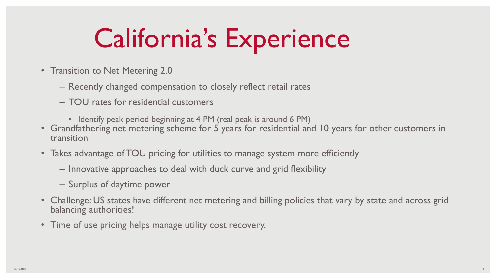# California's Experience

- Transition to Net Metering 2.0
	- Recently changed compensation to closely reflect retail rates
	- TOU rates for residential customers
		- Identify peak period beginning at 4 PM (real peak is around 6 PM)
- Grandfathering net metering scheme for 5 years for residential and 10 years for other customers in transition
- Takes advantage of TOU pricing for utilities to manage system more efficiently
	- Innovative approaches to deal with duck curve and grid flexibility
	- Surplus of daytime power
- Challenge: US states have different net metering and billing policies that vary by state and across grid balancing authorities!
- Time of use pricing helps manage utility cost recovery.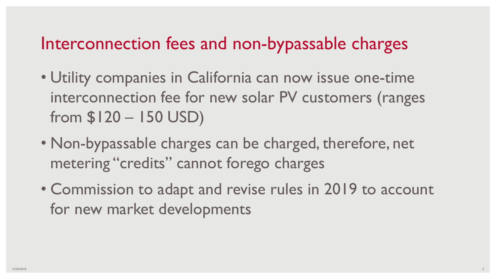### Interconnection fees and non-bypassable charges

- Utility companies in California can now issue one-time interconnection fee for new solar PV customers (ranges from \$120 – 150 USD)
- Non-bypassable charges can be charged, therefore, net metering "credits" cannot forego charges
- Commission to adapt and revise rules in 2019 to account for new market developments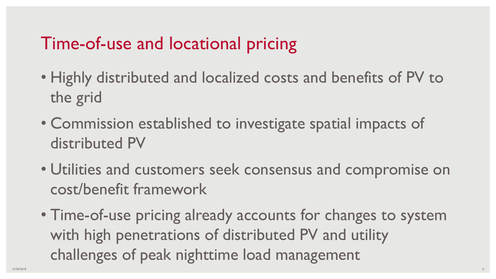### Time-of-use and locational pricing

- Highly distributed and localized costs and benefits of PV to the grid
- Commission established to investigate spatial impacts of distributed PV
- Utilities and customers seek consensus and compromise on cost/benefit framework
- Time-of-use pricing already accounts for changes to system with high penetrations of distributed PV and utility challenges of peak nighttime load management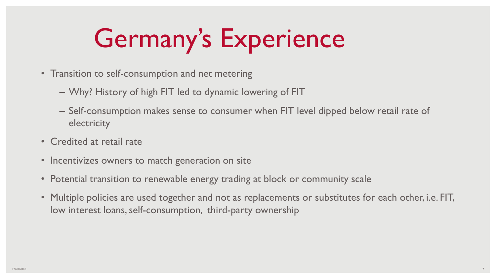# Germany's Experience

- Transition to self-consumption and net metering
	- Why? History of high FIT led to dynamic lowering of FIT
	- Self-consumption makes sense to consumer when FIT level dipped below retail rate of electricity
- Credited at retail rate
- Incentivizes owners to match generation on site
- Potential transition to renewable energy trading at block or community scale
- Multiple policies are used together and not as replacements or substitutes for each other, i.e. FIT, low interest loans, self-consumption, third-party ownership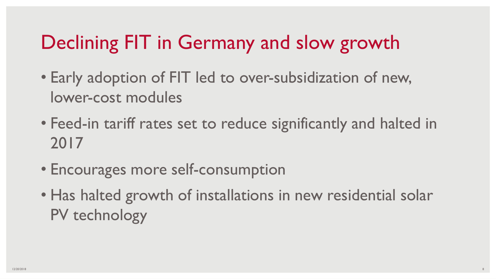### Declining FIT in Germany and slow growth

- Early adoption of FIT led to over-subsidization of new, lower-cost modules
- Feed-in tariff rates set to reduce significantly and halted in 2017
- Encourages more self-consumption
- Has halted growth of installations in new residential solar PV technology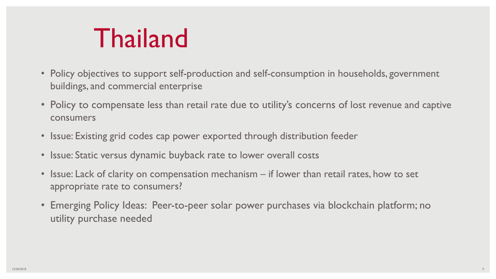# Thailand

- Policy objectives to support self-production and self-consumption in households, government buildings, and commercial enterprise
- Policy to compensate less than retail rate due to utility's concerns of lost revenue and captive consumers
- Issue: Existing grid codes cap power exported through distribution feeder
- Issue: Static versus dynamic buyback rate to lower overall costs
- Issue: Lack of clarity on compensation mechanism if lower than retail rates, how to set appropriate rate to consumers?
- Emerging Policy Ideas: Peer-to-peer solar power purchases via blockchain platform; no utility purchase needed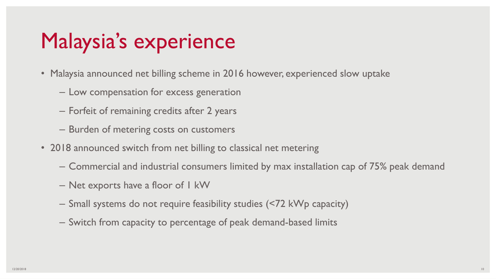### Malaysia's experience

- Malaysia announced net billing scheme in 2016 however, experienced slow uptake
	- Low compensation for excess generation
	- Forfeit of remaining credits after 2 years
	- Burden of metering costs on customers
- 2018 announced switch from net billing to classical net metering
	- Commercial and industrial consumers limited by max installation cap of 75% peak demand
	- Net exports have a floor of 1 kW
	- Small systems do not require feasibility studies (<72 kWp capacity)
	- Switch from capacity to percentage of peak demand-based limits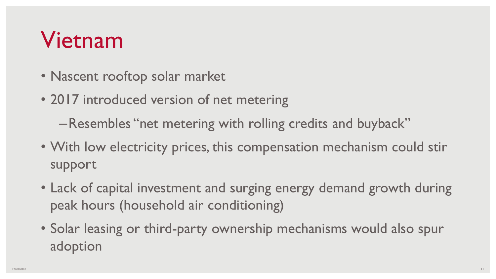## Vietnam

- Nascent rooftop solar market
- 2017 introduced version of net metering

–Resembles "net metering with rolling credits and buyback"

- With low electricity prices, this compensation mechanism could stir support
- Lack of capital investment and surging energy demand growth during peak hours (household air conditioning)
- Solar leasing or third-party ownership mechanisms would also spur adoption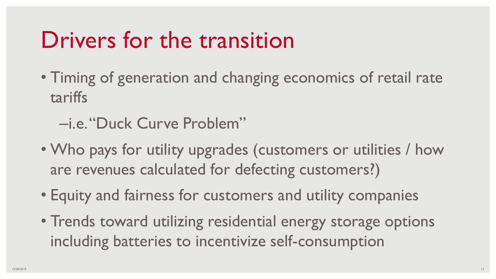## Drivers for the transition

- Timing of generation and changing economics of retail rate tariffs
	- –i.e. "Duck Curve Problem"
- Who pays for utility upgrades (customers or utilities / how are revenues calculated for defecting customers?)
- Equity and fairness for customers and utility companies
- Trends toward utilizing residential energy storage options including batteries to incentivize self-consumption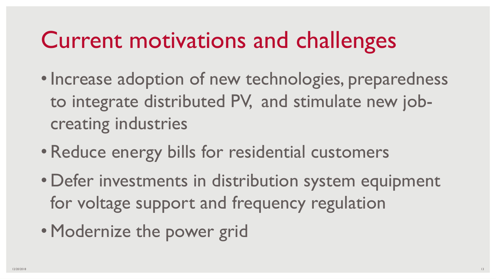## Current motivations and challenges

- Increase adoption of new technologies, preparedness to integrate distributed PV, and stimulate new jobcreating industries
- Reduce energy bills for residential customers
- Defer investments in distribution system equipment for voltage support and frequency regulation
- Modernize the power grid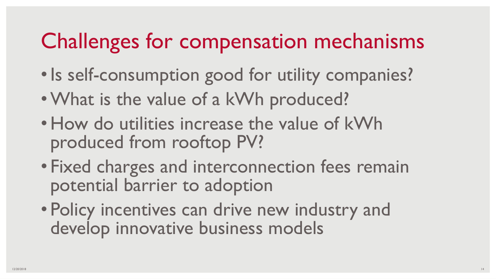## Challenges for compensation mechanisms

- Is self-consumption good for utility companies?
- •What is the value of a kWh produced?
- How do utilities increase the value of kWh produced from rooftop PV?
- Fixed charges and interconnection fees remain potential barrier to adoption
- Policy incentives can drive new industry and develop innovative business models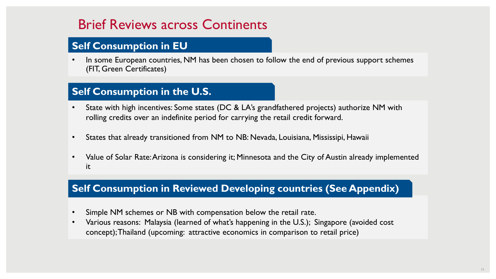### Brief Reviews across Continents

#### **Self Consumption in EU**

In some European countries, NM has been chosen to follow the end of previous support schemes (FIT, Green Certificates)

#### **Self Consumption in the U.S.**

- State with high incentives: Some states (DC & LA's grandfathered projects) authorize NM with rolling credits over an indefinite period for carrying the retail credit forward.
- States that already transitioned from NM to NB: Nevada, Louisiana, Mississipi, Hawaii
- Value of Solar Rate: Arizona is considering it; Minnesota and the City of Austin already implemented it

#### **Self Consumption in Reviewed Developing countries (See Appendix)**

- Simple NM schemes or NB with compensation below the retail rate.
- Various reasons: Malaysia (learned of what's happening in the U.S.); Singapore (avoided cost concept); Thailand (upcoming: attractive economics in comparison to retail price)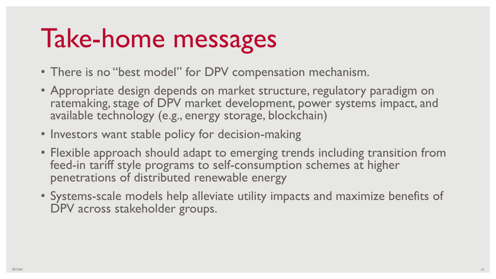# Take-home messages

- There is no "best model" for DPV compensation mechanism.
- Appropriate design depends on market structure, regulatory paradigm on ratemaking, stage of DPV market development, power systems impact, and available technology (e.g., energy storage, blockchain)
- Investors want stable policy for decision-making
- Flexible approach should adapt to emerging trends including transition from feed-in tariff style programs to self-consumption schemes at higher penetrations of distributed renewable energy
- Systems-scale models help alleviate utility impacts and maximize benefits of DPV across stakeholder groups.